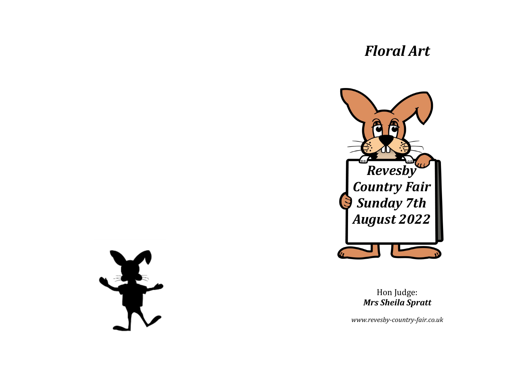# *Floral Art*



Hon Judge: *Mrs Sheila Spratt*

*www.revesby-country-fair.co.uk*